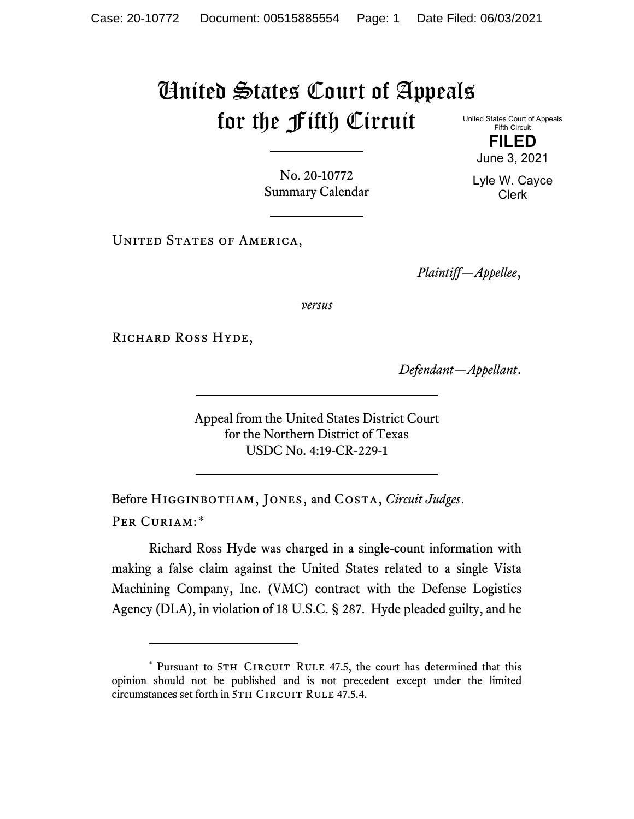## United States Court of Appeals for the Fifth Circuit

United States Court of Appeals Fifth Circuit **FILED**

June 3, 2021

No. 20-10772 Summary Calendar

UNITED STATES OF AMERICA,

*Plaintiff—Appellee*,

*versus*

RICHARD ROSS HYDE,

*Defendant—Appellant*.

Appeal from the United States District Court for the Northern District of Texas USDC No. 4:19-CR-229-1

Before Higginbotham, Jones, and Costa, *Circuit Judges*. Per Curiam:[\\*](#page-0-0)

Richard Ross Hyde was charged in a single-count information with making a false claim against the United States related to a single Vista Machining Company, Inc. (VMC) contract with the Defense Logistics Agency (DLA), in violation of 18 U.S.C. § 287. Hyde pleaded guilty, and he

Lyle W. Cayce Clerk

<span id="page-0-0"></span><sup>\*</sup> Pursuant to 5TH CIRCUIT RULE 47.5, the court has determined that this opinion should not be published and is not precedent except under the limited circumstances set forth in 5TH CIRCUIT RULE 47.5.4.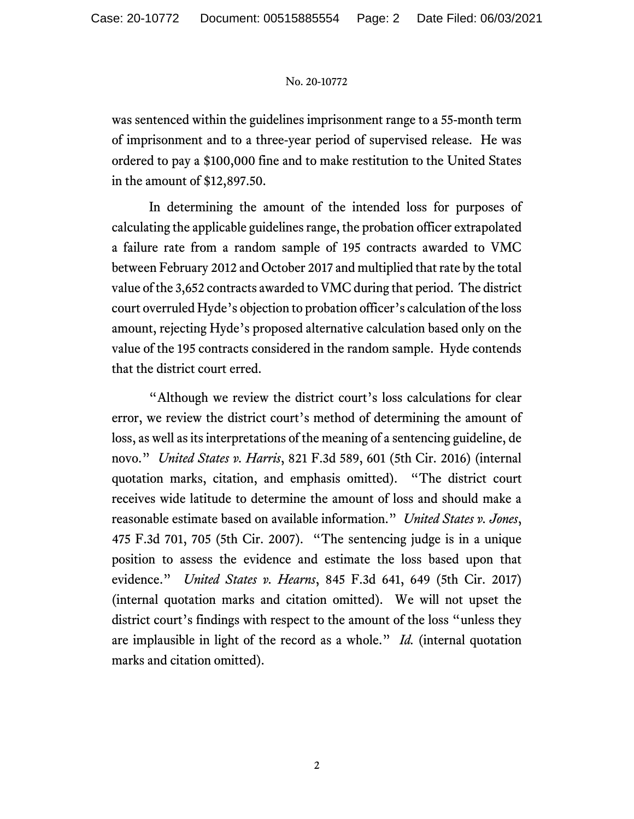## No. 20-10772

was sentenced within the guidelines imprisonment range to a 55-month term of imprisonment and to a three-year period of supervised release. He was ordered to pay a \$100,000 fine and to make restitution to the United States in the amount of \$12,897.50.

In determining the amount of the intended loss for purposes of calculating the applicable guidelines range, the probation officer extrapolated a failure rate from a random sample of 195 contracts awarded to VMC between February 2012 and October 2017 and multiplied that rate by the total value of the 3,652 contracts awarded to VMC during that period. The district court overruled Hyde's objection to probation officer's calculation of the loss amount, rejecting Hyde's proposed alternative calculation based only on the value of the 195 contracts considered in the random sample. Hyde contends that the district court erred.

"Although we review the district court's loss calculations for clear error, we review the district court's method of determining the amount of loss, as well as its interpretations of the meaning of a sentencing guideline, de novo." *United States v. Harris*, 821 F.3d 589, 601 (5th Cir. 2016) (internal quotation marks, citation, and emphasis omitted). "The district court receives wide latitude to determine the amount of loss and should make a reasonable estimate based on available information." *United States v. Jones*, 475 F.3d 701, 705 (5th Cir. 2007). "The sentencing judge is in a unique position to assess the evidence and estimate the loss based upon that evidence." *United States v. Hearns*, 845 F.3d 641, 649 (5th Cir. 2017) (internal quotation marks and citation omitted). We will not upset the district court's findings with respect to the amount of the loss "unless they are implausible in light of the record as a whole." *Id.* (internal quotation marks and citation omitted).